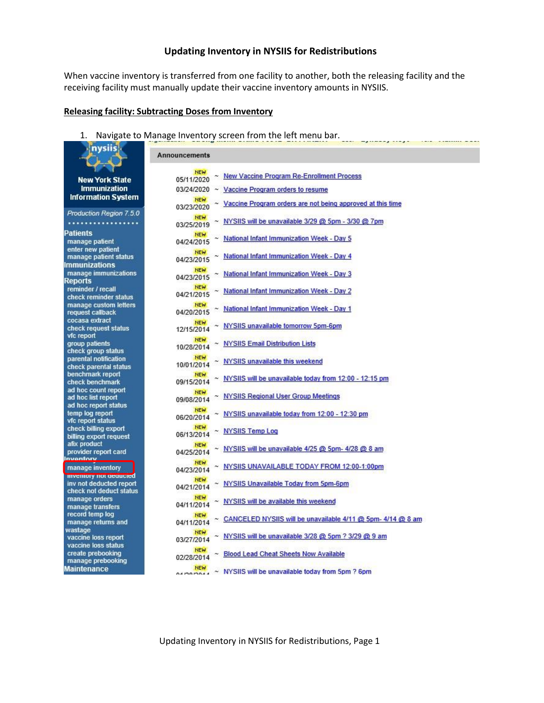## **Updating Inventory in NYSIIS for Redistributions**

When vaccine inventory is transferred from one facility to another, both the releasing facility and the receiving facility must manually update their vaccine inventory amounts in NYSIIS.

### **Releasing facility: Subtracting Doses from Inventory**

1. Navigate to Manage Inventory screen from the left menu bar.

| nysus                                                                        | <b>Announcements</b>                                                                    |
|------------------------------------------------------------------------------|-----------------------------------------------------------------------------------------|
|                                                                              |                                                                                         |
| <b>New York State</b>                                                        | <b>NEW</b><br><b>New Vaccine Program Re-Enrollment Process</b><br>05/11/2020            |
| <b>Immunization</b>                                                          | $03/24/2020$ ~ Vaccine Program orders to resume                                         |
| <b>Information System</b>                                                    | <b>NEW</b><br>Vaccine Program orders are not being approved at this time<br>03/23/2020  |
| Production Region 7.5.0                                                      | <b>NEW</b>                                                                              |
|                                                                              | NYSIIS will be unavailable 3/29 @ 5pm - 3/30 @ 7pm<br>03/25/2019                        |
| Patients                                                                     | <b>NEW</b><br>National Infant Immunization Week - Day 5                                 |
| manage patient<br>enter new patient                                          | 04/24/2015                                                                              |
| manage patient status                                                        | <b>NEW</b><br>National Infant Immunization Week - Day 4                                 |
| Immunizations                                                                | 04/23/2015                                                                              |
| manage immunizations<br>Reports                                              | <b>NEW</b><br>National Infant Immunization Week - Day 3<br>04/23/2015                   |
| reminder / recall<br>check reminder status                                   | <b>NEW</b><br>National Infant Immunization Week - Day 2<br>04/21/2015                   |
| manage custom letters<br>request callback                                    | <b>NEW</b><br>National Infant Immunization Week - Day 1<br>04/20/2015                   |
| cocasa extract<br>check request status<br>vfc report                         | <b>NEW</b><br>NYSIIS unavailable tomorrow 5pm-6pm<br>12/15/2014                         |
| group patients.<br>check group status                                        | <b>NEW</b><br><b>NYSIIS Email Distribution Lists</b><br>10/28/2014                      |
| parental notification<br>check parental status                               | <b>NEW</b><br>NYSIIS unavailable this weekend<br>10/01/2014                             |
| benchmark report<br>check benchmark                                          | <b>NEW</b><br>NYSIIS will be unavailable today from 12:00 - 12:15 pm<br>09/15/2014      |
| ad hoc count report<br>ad hoc list report                                    | <b>NEW</b><br><b>NYSIIS Regional User Group Meetings</b><br>09/08/2014                  |
| ad hoc report status<br>temp log report                                      | <b>NEW</b><br>NYSIIS unavailable today from 12:00 - 12:30 pm<br>06/20/2014              |
| vfc report status<br>check billing export                                    | <b>NEW</b><br><b>NYSIIS Temp Log</b><br>06/13/2014                                      |
| billing export request<br>afix product                                       | <b>NEW</b><br>NYSIIS will be unavailable 4/25 @ 5pm- 4/28 @ 8 am                        |
| provider report card<br>Inventory                                            | 04/25/2014                                                                              |
| manage inventory                                                             | <b>NEW</b><br>NYSIIS UNAVAILABLE TODAY FROM 12:00-1:00pm<br>04/23/2014                  |
| inventory not geoucled<br>inv not deducted report<br>check not deduct status | <b>NEW</b><br>NYSIIS Unavailable Today from 5pm-6pm<br>04/21/2014                       |
| manage orders<br>manage transfers                                            | NEW<br>NYSIIS will be available this weekend<br>04/11/2014                              |
| record temp log<br>manage returns and                                        | <b>NEW</b><br>CANCELED NYSIIS will be unavailable 4/11 @ 5pm- 4/14 @ 8 am<br>04/11/2014 |
| wastage<br>vaccine loss report                                               | <b>NEW</b><br>NYSIIS will be unavailable 3/28 @ 5pm ? 3/29 @ 9 am<br>03/27/2014         |
| vaccine loss status<br>create prebooking                                     | <b>NEW</b><br><b>Blood Lead Cheat Sheets Now Available</b><br>02/28/2014                |
| manage prebooking<br>Maintenance                                             | <b>NEW</b><br>~ NYSIIS will be unavailable today from 5pm? 6pm<br><b>ALMONDAL</b>       |

Updating Inventory in NYSIIS for Redistributions, Page 1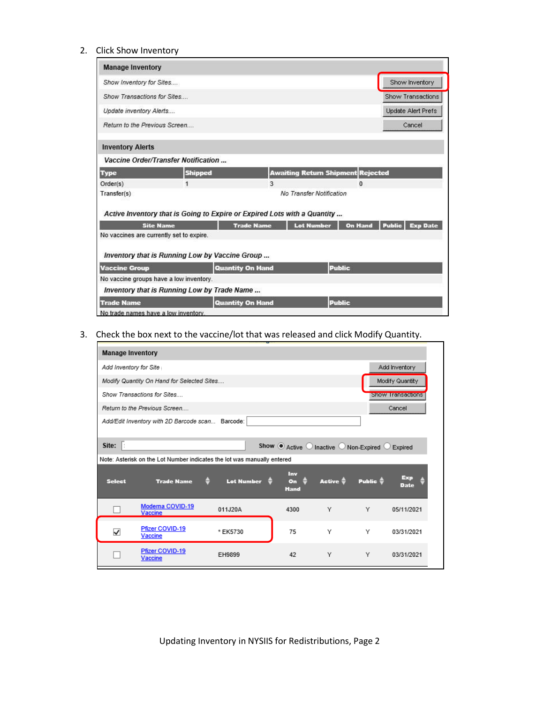### 2. Click Show Inventory

| <b>Manage Inventory</b>                  |                                                                          |                         |                                          |                |                                  |
|------------------------------------------|--------------------------------------------------------------------------|-------------------------|------------------------------------------|----------------|----------------------------------|
| Show Inventory for Sites                 |                                                                          |                         |                                          |                | Show Inventory                   |
| Show Transactions for Sites              |                                                                          |                         |                                          |                | Show Transactions                |
| Update inventory Alerts                  |                                                                          |                         |                                          |                | Update Alert Prefs               |
| Return to the Previous Screen            |                                                                          |                         |                                          |                | Cancel                           |
| <b>Inventory Alerts</b>                  |                                                                          |                         |                                          |                |                                  |
|                                          | <b>Vaccine Order/Transfer Notification</b>                               |                         |                                          |                |                                  |
| <b>Type</b>                              | <b>Shipped</b>                                                           |                         | <b>Awaiting Return Shipment Rejected</b> |                |                                  |
| Order(s)                                 | $\mathbf{1}$                                                             | 3                       |                                          | $\mathbf{0}$   |                                  |
| Transfer(s)                              |                                                                          |                         | No Transfer Notification                 |                |                                  |
|                                          | Active Inventory that is Going to Expire or Expired Lots with a Quantity |                         |                                          |                |                                  |
|                                          | <b>Site Name</b>                                                         | <b>Trade Name</b>       | <b>Lot Number</b>                        | <b>On Hand</b> | <b>Public</b><br><b>Exp Date</b> |
| No vaccines are currently set to expire. |                                                                          |                         |                                          |                |                                  |
|                                          | Inventory that is Running Low by Vaccine Group                           |                         |                                          |                |                                  |
| <b>Vaccine Group</b>                     |                                                                          | <b>Quantity On Hand</b> |                                          | <b>Public</b>  |                                  |
|                                          | No vaccine groups have a low inventory.                                  |                         |                                          |                |                                  |
|                                          | Inventory that is Running Low by Trade Name                              |                         |                                          |                |                                  |
| <b>Trade Name</b>                        |                                                                          | <b>Quantity On Hand</b> |                                          | <b>Public</b>  |                                  |
| No trade names have a low inventory.     |                                                                          |                         |                                          |                |                                  |

# 3. Check the box next to the vaccine/lot that was released and click Modify Quantity.

| Add Inventory for Site                     |                                                          |                                                  |                                                                                                          |                     |                                                                                                                |  |  |  |
|--------------------------------------------|----------------------------------------------------------|--------------------------------------------------|----------------------------------------------------------------------------------------------------------|---------------------|----------------------------------------------------------------------------------------------------------------|--|--|--|
| Modify Quantity On Hand for Selected Sites |                                                          |                                                  |                                                                                                          |                     |                                                                                                                |  |  |  |
| Show Transactions for Sites                |                                                          |                                                  |                                                                                                          |                     |                                                                                                                |  |  |  |
|                                            |                                                          |                                                  |                                                                                                          |                     | Cancel                                                                                                         |  |  |  |
|                                            |                                                          |                                                  |                                                                                                          |                     |                                                                                                                |  |  |  |
|                                            |                                                          |                                                  |                                                                                                          |                     |                                                                                                                |  |  |  |
|                                            |                                                          |                                                  |                                                                                                          |                     | Expired                                                                                                        |  |  |  |
|                                            |                                                          |                                                  |                                                                                                          |                     |                                                                                                                |  |  |  |
| <b>Trade Name</b>                          |                                                          | Inv<br>On<br><b>Hand</b>                         | Active $\triangleq$                                                                                      | Public $\triangleq$ | Exp<br>Date                                                                                                    |  |  |  |
|                                            |                                                          |                                                  |                                                                                                          |                     |                                                                                                                |  |  |  |
| Moderna COVID-19<br>Vaccine                | 011J20A                                                  | 4300                                             | Υ                                                                                                        | Υ                   | 05/11/2021                                                                                                     |  |  |  |
| Pfizer COVID-19<br>Vaccine                 | * EK5730                                                 | 75                                               | Υ                                                                                                        | Υ                   | 03/31/2021                                                                                                     |  |  |  |
|                                            | <b>Manage Inventory</b><br>Return to the Previous Screen | Add/Edit Inventory with 2D Barcode scan Barcode: | Note: Asterisk on the Lot Number indicates the lot was manually entered<br>Lot Number $\hat{\mathbf{v}}$ |                     | Add Inventory<br>Modify Quantity<br>Show Transactions<br>Show $\circledcirc$ Active O Inactive O Non-Expired O |  |  |  |

Updating Inventory in NYSIIS for Redistributions, Page 2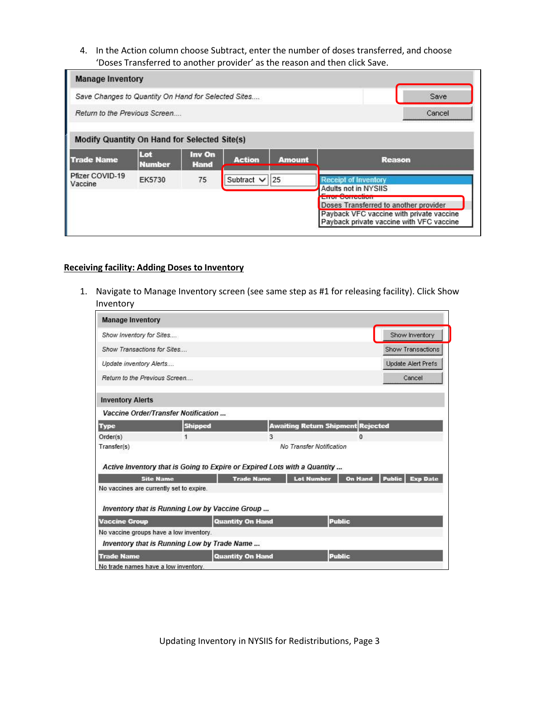4. In the Action column choose Subtract, enter the number of doses transferred, and choose 'Doses Transferred to another provider' as the reason and then click Save.

| <b>Manage Inventory</b>                             |                      |                       |                    |               |                                                                                                                               |
|-----------------------------------------------------|----------------------|-----------------------|--------------------|---------------|-------------------------------------------------------------------------------------------------------------------------------|
| Save Changes to Quantity On Hand for Selected Sites |                      |                       |                    |               | Save                                                                                                                          |
| Return to the Previous Screen                       |                      |                       |                    |               | Cancel                                                                                                                        |
| <b>Modify Quantity On Hand for Selected Site(s)</b> |                      |                       |                    |               |                                                                                                                               |
| <b>Trade Name</b>                                   | Lot<br><b>Number</b> | Inv On<br><b>Hand</b> | <b>Action</b>      | <b>Amount</b> | <b>Reason</b>                                                                                                                 |
| Pfizer COVID-19<br>Vaccine                          | <b>EK5730</b>        | 75                    | Subtract $\vee$ 25 |               | <b>Receipt of Inventory</b><br>Adults not in NYSIIS<br>Liivi Vulleesen                                                        |
|                                                     |                      |                       |                    |               | Doses Transferred to another provider<br>Payback VFC vaccine with private vaccine<br>Payback private vaccine with VFC vaccine |

#### **Receiving facility: Adding Doses to Inventory**

1. Navigate to Manage Inventory screen (see same step as #1 for releasing facility). Click Show Inventory

| <b>Manage Inventory</b>              |                                                |                                                                          |                                          |                |                                  |
|--------------------------------------|------------------------------------------------|--------------------------------------------------------------------------|------------------------------------------|----------------|----------------------------------|
| Show Inventory for Sites             |                                                |                                                                          |                                          |                | Show Inventory                   |
| Show Transactions for Sites          |                                                |                                                                          |                                          |                | Show Transactions                |
| Update inventory Alerts              |                                                |                                                                          |                                          |                | <b>Update Alert Prefs</b>        |
| Return to the Previous Screen        |                                                |                                                                          |                                          |                | Cancel                           |
| <b>Inventory Alerts</b>              |                                                |                                                                          |                                          |                |                                  |
|                                      | <b>Vaccine Order/Transfer Notification</b>     |                                                                          |                                          |                |                                  |
| <b>Type</b>                          | <b>Shipped</b>                                 |                                                                          | <b>Awaiting Return Shipment Rejected</b> |                |                                  |
| Order(s)                             | $\mathbf{1}$                                   | 3                                                                        |                                          | $\mathbf{0}$   |                                  |
| Transfer(s)                          |                                                |                                                                          | No Transfer Notification                 |                |                                  |
|                                      |                                                | Active Inventory that is Going to Expire or Expired Lots with a Quantity |                                          |                |                                  |
|                                      | <b>Site Name</b>                               | <b>Trade Name</b>                                                        | <b>Lot Number</b>                        | <b>On Hand</b> | <b>Public</b><br><b>Exp Date</b> |
|                                      | No vaccines are currently set to expire.       |                                                                          |                                          |                |                                  |
|                                      | Inventory that is Running Low by Vaccine Group |                                                                          |                                          |                |                                  |
| <b>Vaccine Group</b>                 |                                                | <b>Quantity On Hand</b>                                                  |                                          | <b>Public</b>  |                                  |
|                                      | No vaccine groups have a low inventory.        |                                                                          |                                          |                |                                  |
|                                      | Inventory that is Running Low by Trade Name    |                                                                          |                                          |                |                                  |
| <b>Trade Name</b>                    |                                                | <b>Quantity On Hand</b>                                                  |                                          | <b>Public</b>  |                                  |
| No trade names have a low inventory. |                                                |                                                                          |                                          |                |                                  |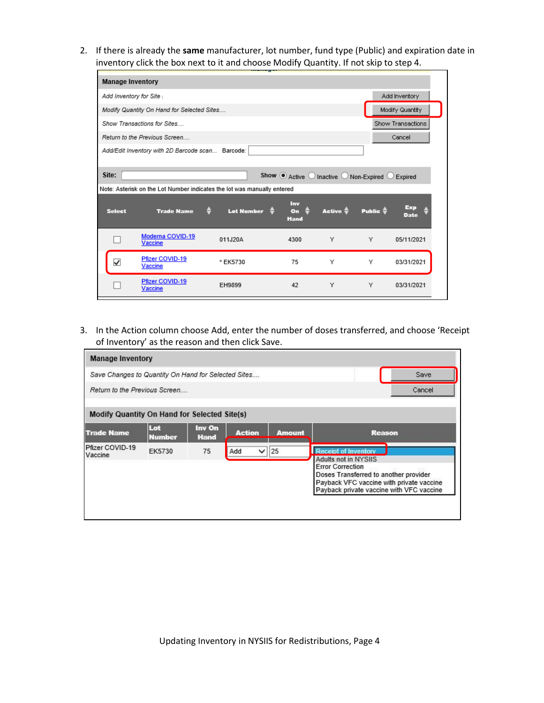2. If there is already the **same** manufacturer, lot number, fund type (Public) and expiration date in inventory click the box next to it and choose Modify Quantity. If not skip to step 4.

| <b>Manage Inventory</b>                                                 |                                                  |                   |                                                |                     |                     |            |
|-------------------------------------------------------------------------|--------------------------------------------------|-------------------|------------------------------------------------|---------------------|---------------------|------------|
| Add Inventory for Site                                                  |                                                  | Add Inventory     |                                                |                     |                     |            |
| Modify Quantity On Hand for Selected Sites                              |                                                  | Modify Quantity   |                                                |                     |                     |            |
| Show Transactions for Sites                                             |                                                  | Show Transactions |                                                |                     |                     |            |
|                                                                         | Return to the Previous Screen                    |                   |                                                |                     |                     | Cancel     |
|                                                                         | Add/Edit Inventory with 2D Barcode scan Barcode: |                   |                                                |                     |                     |            |
|                                                                         |                                                  |                   |                                                |                     |                     |            |
| Site:                                                                   |                                                  |                   | Show $\odot$ Active O Inactive O Non-Expired O |                     |                     | Expired    |
| Note: Asterisk on the Lot Number indicates the lot was manually entered |                                                  |                   |                                                |                     |                     |            |
|                                                                         |                                                  |                   |                                                |                     |                     |            |
| <b>Select</b>                                                           | <b>Trade Name</b>                                | <b>Lot Number</b> | Inv<br>$o$<br><b>Hand</b>                      | Active $\triangleq$ | Public $\triangleq$ | Date       |
|                                                                         | Moderna COVID-19<br><b>Vaccine</b>               | 011J20A           | 4300                                           | Υ                   | Υ                   | 05/11/2021 |
| ✓                                                                       | Pfizer COVID-19<br>Vaccine                       | * EK5730          | 75                                             | Υ                   | Υ                   | 03/31/2021 |

3. In the Action column choose Add, enter the number of doses transferred, and choose 'Receipt of Inventory' as the reason and then click Save.

| <b>Manage Inventory</b>                             |                      |                       |               |              |               |                                                                                                                                                                                                                        |        |
|-----------------------------------------------------|----------------------|-----------------------|---------------|--------------|---------------|------------------------------------------------------------------------------------------------------------------------------------------------------------------------------------------------------------------------|--------|
| Save Changes to Quantity On Hand for Selected Sites |                      |                       |               |              |               |                                                                                                                                                                                                                        | Save   |
| Return to the Previous Screen                       |                      |                       |               |              |               |                                                                                                                                                                                                                        | Cancel |
| <b>Modify Quantity On Hand for Selected Site(s)</b> |                      |                       |               |              |               |                                                                                                                                                                                                                        |        |
| <b>Trade Name</b>                                   | Lot<br><b>Number</b> | Inv On<br><b>Hand</b> | <b>Action</b> |              | <b>Amount</b> | <b>Reason</b>                                                                                                                                                                                                          |        |
| Pfizer COVID-19<br>Vaccine                          | EK5730               | 75                    | Add           | $\checkmark$ | 25            | <b>Receipt of Inventory</b><br><b>Adults not in NYSIIS</b><br><b>Error Correction</b><br>Doses Transferred to another provider<br>Payback VFC vaccine with private vaccine<br>Payback private vaccine with VFC vaccine |        |

Updating Inventory in NYSIIS for Redistributions, Page 4